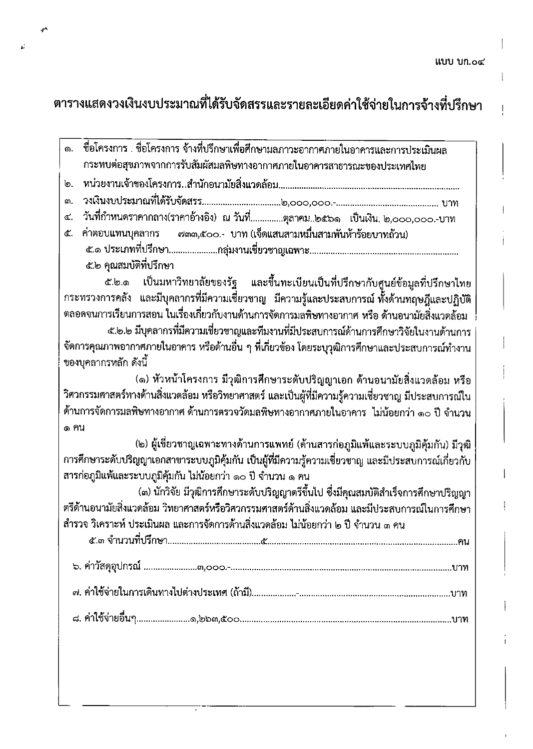$\mathbf{I}$ 

 $\mathfrak l$ 

## ตารางแสดงวงเงินงบประมาณที่ได้รับจัดสรรและรายละเอียดค่าใช้จ่ายในการจ้างที่ปรึกษา

 $\delta^A$ 

 $\mathbf{r}^{\prime}$ 

| ชื่อโครงการ . ชื่อโครงการ จ้างที่ปรึกษาเพื่อศึกษามลภาวะอากาศภายในอาคารและการประเมินผล<br><b>.</b>   |  |  |  |  |  |  |
|-----------------------------------------------------------------------------------------------------|--|--|--|--|--|--|
| กระทบต่อสุขภาพจากการรับสัมผัสมลพิษทางอากาศภายในอาคารสาธารณะของประเทศไทย                             |  |  |  |  |  |  |
| თ.                                                                                                  |  |  |  |  |  |  |
| ណ.                                                                                                  |  |  |  |  |  |  |
| วันที่กำหนดราคากลาง(ราคาอ้างอิง) ณ วันที่ตุลาคม๒๕๖๑  เป็นเงิน. ๒,๐๐๐,๐๐๐.-บาท<br>Œ.,                |  |  |  |  |  |  |
| ี่ ๗๓๓,๕๐๐.- บาท (เจ็ดแสนสามหมื่นสามพันห้าร้อยบาทถ้วน)<br>ค่าตอบแทนบุคลากร<br>ፈ.                    |  |  |  |  |  |  |
|                                                                                                     |  |  |  |  |  |  |
| ๕.๒ คุณสมบัติที่ปรึกษา                                                                              |  |  |  |  |  |  |
| ๕.๒.๑ เป็นมหาวิทยาลัยของรัฐ และขึ้นทะเบียนเป็นที่ปรึกษากับศูนย์ข้อมูลที่ปรึกษาไทย                   |  |  |  |  |  |  |
| กระทรวงการคลัง และมีบุคลากรที่มีความเชี่ยวชาญ มีความรู้และประสบการณ์ทั้งด้านทฤษฎีและปฏิบัติ         |  |  |  |  |  |  |
| ตลอดจนการเรียนการสอน ในเรื่องเกี่ยวกับงานด้านการจัดการมลพิษทางอากาศ หรือ ด้านอนามัยสิ่งแวดล้อม      |  |  |  |  |  |  |
| ๕.๒.๒ มีบุคลากรที่มีความเชี่ยวชาญและทีมงานที่มีประสบการณ์ด้านการศึกษาวิจัยในงานด้านการ              |  |  |  |  |  |  |
| จัดการคุณภาพอากาศภายในอาคาร หรือด้านอื่น ๆ ที่เกี่ยวข้อง โดยระบุวุฒิการศึกษาและประสบการณ์ทำงาน      |  |  |  |  |  |  |
| ของบุคลากรหลัก ดังนี้                                                                               |  |  |  |  |  |  |
| (๑) หัวหน้าโครงการ มีวุฒิการศึกษาระดับปริญญาเอก ด้านอนามัยสิ่งแวดล้อม หรือ                          |  |  |  |  |  |  |
| วิศวกรรมศาสตร์ทางด้านสิ่งแวดล้อม หรือวิทยาศาสตร์ และเป็นผู้ที่มีความรู้ความเชี่ยวชาญ มีประสบการณ์ใน |  |  |  |  |  |  |
| ด้านการจัดการมลพิษทางอากาศ ด้านการตรวจวัดมลพิษทางอากาศภายในอาคาร  ไม่น้อยกว่า ๑๐ ปี จำนวน           |  |  |  |  |  |  |
| ๑ ฅน                                                                                                |  |  |  |  |  |  |
| (๒) ผู้เชี่ยวชาญเฉพาะทางด้านการแพทย์ (ด้านสารก่อภูมิแพ้และระบบภูมิคุ้มกัน) มีวุฒิ                   |  |  |  |  |  |  |
| การศึกษาระดับปริญญาเอกสาขาระบบภูมิคุ้มกัน เป็นผู้ที่มีความรู้ความเชี่ยวชาญ และมีประสบการณ์เกี่ยวกับ |  |  |  |  |  |  |
| สารก่อภูมิแพ้และระบบภูมิคุ้มกัน ไม่น้อยกว่า ๑๐ ปี จำนวน ๑ คน                                        |  |  |  |  |  |  |
| (๓) นักวิจัย มีวุฒิการศึกษาระดับปริญญาตรีขึ้นไป ซึ่งมีคุณสมบัติสำเร็จการศึกษาปริญญา                 |  |  |  |  |  |  |
| ตรีด้านอนามัยสิ่งแวดล้อม วิทยาศาสตร์หรือวิศวกรรมศาสตร์ด้านสิ่งแวดล้อม และมีประสบการณ์ในการศึกษา     |  |  |  |  |  |  |
| สำรวจ วิเคราะห์ ประเมินผล และการจัดการด้านสิ่งแวดล้อม ไม่น้อยกว่า ๒ ปี จำนวน ๓ คน                   |  |  |  |  |  |  |
| คน                                                                                                  |  |  |  |  |  |  |
|                                                                                                     |  |  |  |  |  |  |
|                                                                                                     |  |  |  |  |  |  |
|                                                                                                     |  |  |  |  |  |  |
|                                                                                                     |  |  |  |  |  |  |
|                                                                                                     |  |  |  |  |  |  |
|                                                                                                     |  |  |  |  |  |  |